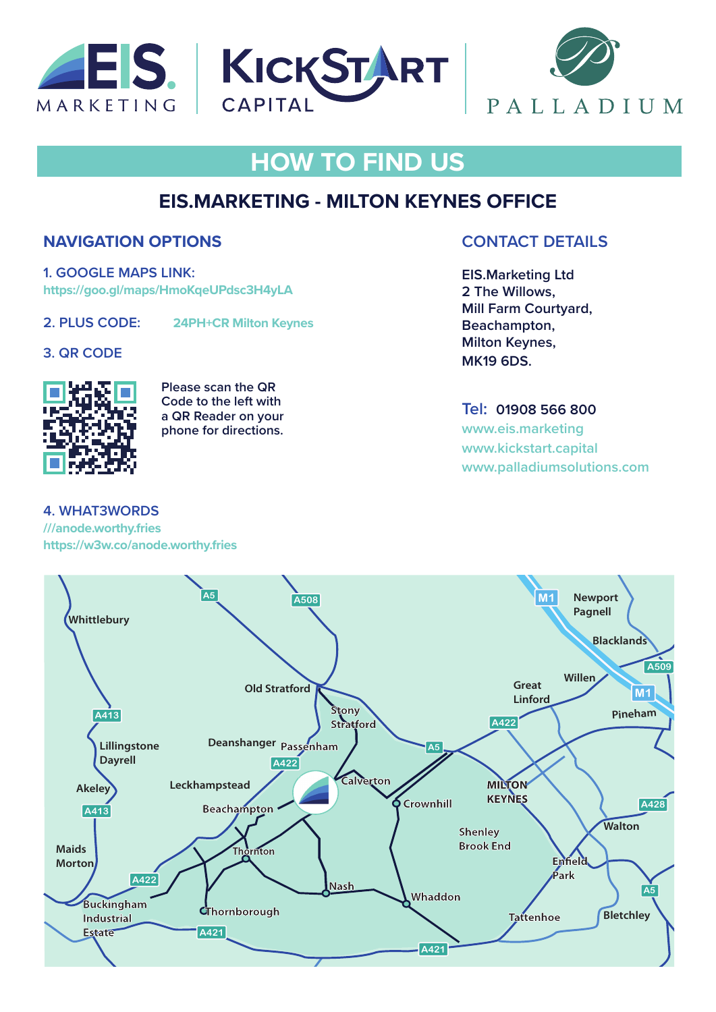





# **HOW TO FIND US**

## **EIS.MARKETING - MILTON KEYNES OFFICE**

### **NAVIGATION OPTIONS**

**1. GOOGLE MAPS LINK: https://goo.gl/maps/HmoKqeUPdsc3H4yLA**

**2. PLUS CODE: 24PH+CR Milton Keynes**

#### **3. QR CODE**



**Please scan the QR Code to the left with a QR Reader on your phone for directions.**

#### **4. WHAT3WORDS**

**///anode.worthy.fries [https://w3w.co/](https://w3w.co/anode.worthy.fries)anode.worthy.fries**

### **CONTACT DETAILS**

**EIS.Marketing Ltd 2 The Willows, Mill Farm Courtyard, Beachampton, Milton Keynes, MK19 6DS.** 

**Tel: 01908 566 800 [www.eis.marketing](http://www.eis.marketing) [www.kickstart.capita](http://www.kickstart.capital)l www.palladiumsolutions.com**